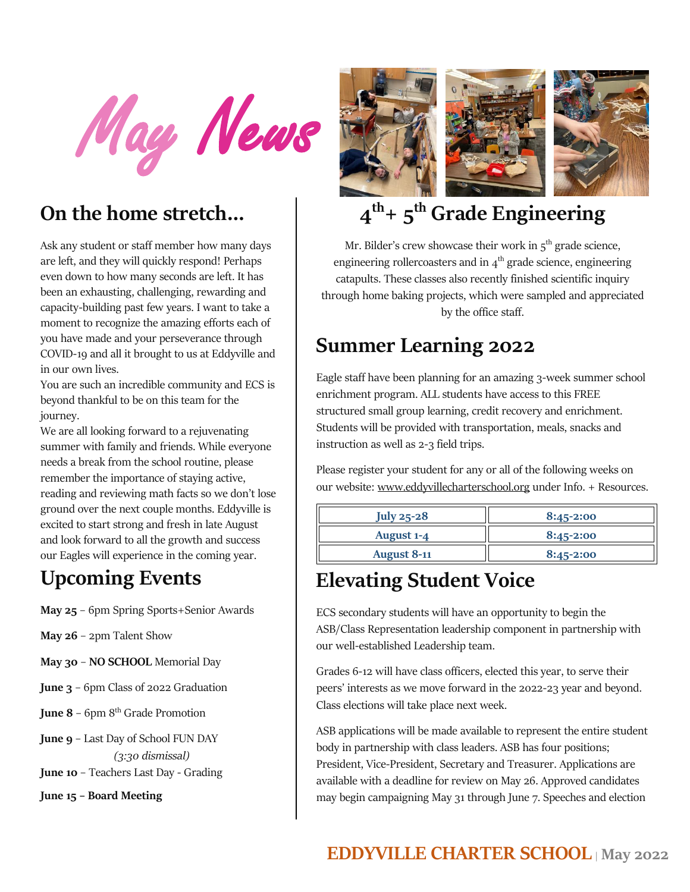May News

#### **On the home stretch…**

Ask any student or staff member how many days are left, and they will quickly respond! Perhaps even down to how many seconds are left. It has been an exhausting, challenging, rewarding and capacity-building past few years. I want to take a moment to recognize the amazing efforts each of you have made and your perseverance through COVID-19 and all it brought to us at Eddyville and in our own lives.

You are such an incredible community and ECS is beyond thankful to be on this team for the journey.

We are all looking forward to a rejuvenating summer with family and friends. While everyone needs a break from the school routine, please remember the importance of staying active, reading and reviewing math facts so we don't lose ground over the next couple months. Eddyville is excited to start strong and fresh in late August and look forward to all the growth and success our Eagles will experience in the coming year.

#### **Upcoming Events**

- **May 25**  6pm Spring Sports+Senior Awards
- **May 26** 2pm Talent Show
- **May 30 NO SCHOOL** Memorial Day
- **June 3** 6pm Class of 2022 Graduation
- **June 8** 6pm 8<sup>th</sup> Grade Promotion
- **June 9** Last Day of School FUN DAY  *(3:30 dismissal)*
- **June 10** Teachers Last Day Grading

**June 15 – Board Meeting**



# **4 th+ 5 th Grade Engineering**

Mr. Bilder's crew showcase their work in  $5<sup>th</sup>$  grade science, engineering rollercoasters and in  $4<sup>th</sup>$  grade science, engineering catapults. These classes also recently finished scientific inquiry through home baking projects, which were sampled and appreciated by the office staff.

# **Summer Learning 2022**

Eagle staff have been planning for an amazing 3-week summer school enrichment program. ALL students have access to this FREE structured small group learning, credit recovery and enrichment. Students will be provided with transportation, meals, snacks and instruction as well as 2-3 field trips.

Please register your student for any or all of the following weeks on our website: [www.eddyvillecharterschool.org](http://www.eddyvillecharterschool.org/) under Info. + Resources.

| July 25-28         | $8:45-2:00$   |
|--------------------|---------------|
| August 1-4         | $8:45 - 2:00$ |
| <b>August 8-11</b> | $8:45 - 2:00$ |

#### **Elevating Student Voice**

ECS secondary students will have an opportunity to begin the ASB/Class Representation leadership component in partnership with our well-established Leadership team.

Grades 6-12 will have class officers, elected this year, to serve their peers' interests as we move forward in the 2022-23 year and beyond. Class elections will take place next week.

ASB applications will be made available to represent the entire student body in partnership with class leaders. ASB has four positions; President, Vice-President, Secretary and Treasurer. Applications are available with a deadline for review on May 26. Approved candidates may begin campaigning May 31 through June 7. Speeches and election